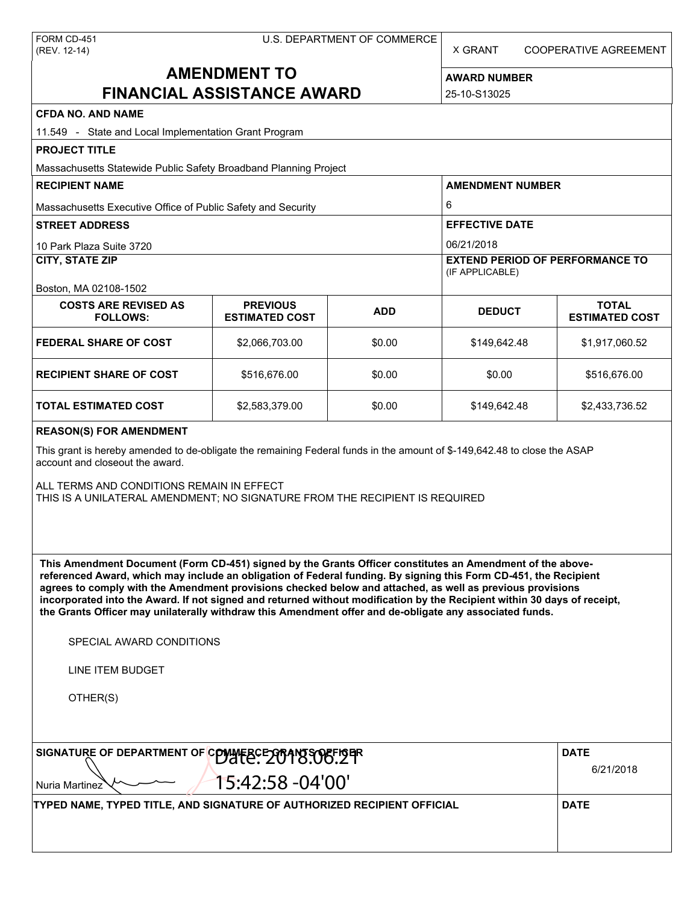| FORM CD-451  |
|--------------|
| (REV. 12-14) |

X GRANT COOPERATIVE AGREEMENT

# **AMENDMENT TO FINANCIAL ASSISTANCE AWARD**

| <b>AWARD NUMBER</b> |
|---------------------|
| 25-10-S13025        |

| <b>CFDA NO. AND NAME</b>                                                                                                                                                                                                                                                                                                                                                                                                                                                                                                                                                          |                                          |            |                                        |                                       |  |  |
|-----------------------------------------------------------------------------------------------------------------------------------------------------------------------------------------------------------------------------------------------------------------------------------------------------------------------------------------------------------------------------------------------------------------------------------------------------------------------------------------------------------------------------------------------------------------------------------|------------------------------------------|------------|----------------------------------------|---------------------------------------|--|--|
| 11.549 - State and Local Implementation Grant Program                                                                                                                                                                                                                                                                                                                                                                                                                                                                                                                             |                                          |            |                                        |                                       |  |  |
| <b>PROJECT TITLE</b><br>Massachusetts Statewide Public Safety Broadband Planning Project                                                                                                                                                                                                                                                                                                                                                                                                                                                                                          |                                          |            |                                        |                                       |  |  |
| <b>RECIPIENT NAME</b>                                                                                                                                                                                                                                                                                                                                                                                                                                                                                                                                                             |                                          |            | <b>AMENDMENT NUMBER</b>                |                                       |  |  |
| Massachusetts Executive Office of Public Safety and Security                                                                                                                                                                                                                                                                                                                                                                                                                                                                                                                      |                                          |            | 6                                      |                                       |  |  |
| <b>STREET ADDRESS</b>                                                                                                                                                                                                                                                                                                                                                                                                                                                                                                                                                             |                                          |            | <b>EFFECTIVE DATE</b>                  |                                       |  |  |
| 10 Park Plaza Suite 3720                                                                                                                                                                                                                                                                                                                                                                                                                                                                                                                                                          |                                          |            | 06/21/2018                             |                                       |  |  |
| <b>CITY, STATE ZIP</b>                                                                                                                                                                                                                                                                                                                                                                                                                                                                                                                                                            |                                          |            | <b>EXTEND PERIOD OF PERFORMANCE TO</b> |                                       |  |  |
|                                                                                                                                                                                                                                                                                                                                                                                                                                                                                                                                                                                   |                                          |            | (IF APPLICABLE)                        |                                       |  |  |
| Boston, MA 02108-1502                                                                                                                                                                                                                                                                                                                                                                                                                                                                                                                                                             |                                          |            |                                        |                                       |  |  |
| <b>COSTS ARE REVISED AS</b><br><b>FOLLOWS:</b>                                                                                                                                                                                                                                                                                                                                                                                                                                                                                                                                    | <b>PREVIOUS</b><br><b>ESTIMATED COST</b> | <b>ADD</b> | <b>DEDUCT</b>                          | <b>TOTAL</b><br><b>ESTIMATED COST</b> |  |  |
| <b>FEDERAL SHARE OF COST</b>                                                                                                                                                                                                                                                                                                                                                                                                                                                                                                                                                      | \$2,066,703.00                           | \$0.00     | \$149,642.48                           | \$1,917,060.52                        |  |  |
| <b>RECIPIENT SHARE OF COST</b>                                                                                                                                                                                                                                                                                                                                                                                                                                                                                                                                                    | \$516,676.00                             | \$0.00     | \$0.00                                 | \$516,676.00                          |  |  |
| <b>TOTAL ESTIMATED COST</b>                                                                                                                                                                                                                                                                                                                                                                                                                                                                                                                                                       | \$2,583,379.00                           | \$0.00     | \$149,642.48                           | \$2,433,736.52                        |  |  |
| This grant is hereby amended to de-obligate the remaining Federal funds in the amount of \$-149,642.48 to close the ASAP<br>account and closeout the award.<br>ALL TERMS AND CONDITIONS REMAIN IN EFFECT<br>THIS IS A UNILATERAL AMENDMENT; NO SIGNATURE FROM THE RECIPIENT IS REQUIRED                                                                                                                                                                                                                                                                                           |                                          |            |                                        |                                       |  |  |
| This Amendment Document (Form CD-451) signed by the Grants Officer constitutes an Amendment of the above-<br>referenced Award, which may include an obligation of Federal funding. By signing this Form CD-451, the Recipient<br>agrees to comply with the Amendment provisions checked below and attached, as well as previous provisions<br>incorporated into the Award. If not signed and returned without modification by the Recipient within 30 days of receipt,<br>the Grants Officer may unilaterally withdraw this Amendment offer and de-obligate any associated funds. |                                          |            |                                        |                                       |  |  |
| SPECIAL AWARD CONDITIONS                                                                                                                                                                                                                                                                                                                                                                                                                                                                                                                                                          |                                          |            |                                        |                                       |  |  |
| <b>LINE ITEM BUDGET</b>                                                                                                                                                                                                                                                                                                                                                                                                                                                                                                                                                           |                                          |            |                                        |                                       |  |  |
| OTHER(S)                                                                                                                                                                                                                                                                                                                                                                                                                                                                                                                                                                          |                                          |            |                                        |                                       |  |  |
| SIGNATURE OF DEPARTMENT OF COMMERCE 2004 NO. 29 TH                                                                                                                                                                                                                                                                                                                                                                                                                                                                                                                                |                                          |            |                                        | <b>DATE</b>                           |  |  |
| 15:42:58 -04'00'<br>Nuria Martinez                                                                                                                                                                                                                                                                                                                                                                                                                                                                                                                                                |                                          |            | 6/21/2018                              |                                       |  |  |
| TYPED NAME, TYPED TITLE, AND SIGNATURE OF AUTHORIZED RECIPIENT OFFICIAL                                                                                                                                                                                                                                                                                                                                                                                                                                                                                                           |                                          |            |                                        | <b>DATE</b>                           |  |  |